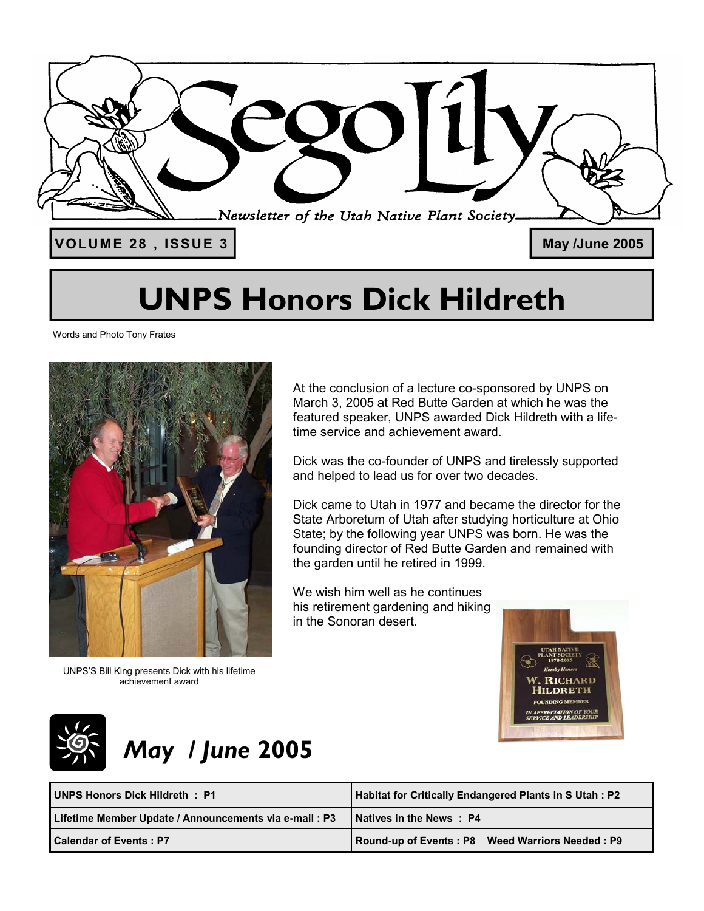

# **UNPS Honors Dick Hildreth**

Words and Photo Tony Frates



UNPS'S Bill King presents Dick with his lifetime achievement award

At the conclusion of a lecture co-sponsored by UNPS on March 3, 2005 at Red Butte Garden at which he was the featured speaker, UNPS awarded Dick Hildreth with a lifetime service and achievement award.

Dick was the co-founder of UNPS and tirelessly supported and helped to lead us for over two decades.

Dick came to Utah in 1977 and became the director for the State Arboretum of Utah after studying horticulture at Ohio State; by the following year UNPS was born. He was the founding director of Red Butte Garden and remained with the garden until he retired in 1999.

We wish him well as he continues his retirement gardening and hiking in the Sonoran desert.





## *May / June* **2005**

| UNPS Honors Dick Hildreth: P1                         | Habitat for Critically Endangered Plants in S Utah : P2 |  |  |
|-------------------------------------------------------|---------------------------------------------------------|--|--|
| Lifetime Member Update / Announcements via e-mail: P3 | <b>Natives in the News: P4</b>                          |  |  |
| <b>Calendar of Events: P7</b>                         | Round-up of Events: P8 Weed Warriors Needed: P9         |  |  |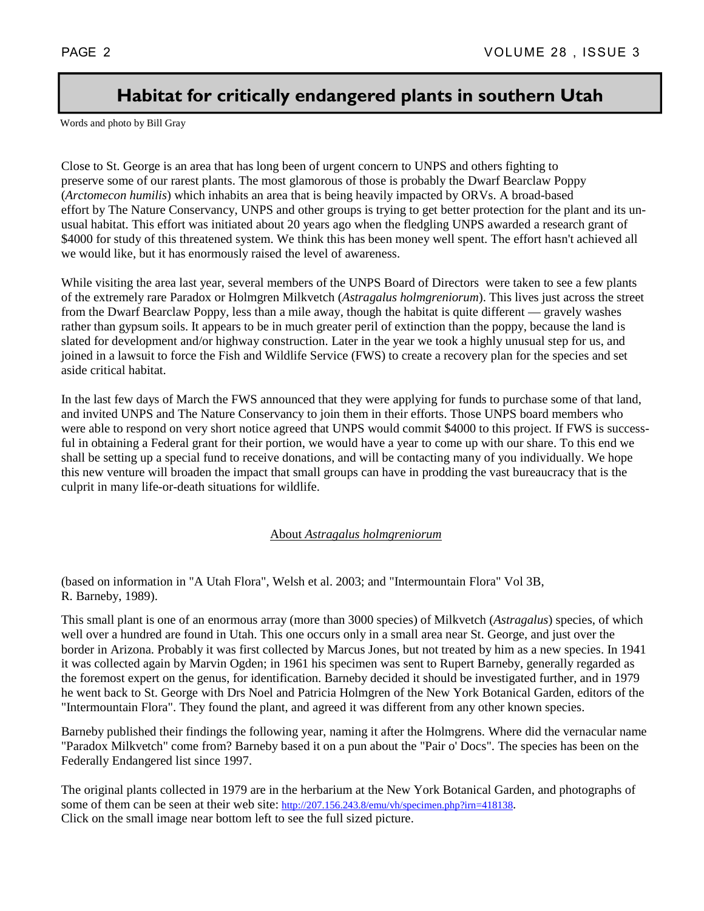## **Habitat for critically endangered plants in southern Utah**

Words and photo by Bill Gray

Close to St. George is an area that has long been of urgent concern to UNPS and others fighting to preserve some of our rarest plants. The most glamorous of those is probably the Dwarf Bearclaw Poppy (*Arctomecon humilis*) which inhabits an area that is being heavily impacted by ORVs. A broad-based effort by The Nature Conservancy, UNPS and other groups is trying to get better protection for the plant and its unusual habitat. This effort was initiated about 20 years ago when the fledgling UNPS awarded a research grant of \$4000 for study of this threatened system. We think this has been money well spent. The effort hasn't achieved all we would like, but it has enormously raised the level of awareness.

While visiting the area last year, several members of the UNPS Board of Directors were taken to see a few plants of the extremely rare Paradox or Holmgren Milkvetch (*Astragalus holmgreniorum*). This lives just across the street from the Dwarf Bearclaw Poppy, less than a mile away, though the habitat is quite different — gravely washes rather than gypsum soils. It appears to be in much greater peril of extinction than the poppy, because the land is slated for development and/or highway construction. Later in the year we took a highly unusual step for us, and joined in a lawsuit to force the Fish and Wildlife Service (FWS) to create a recovery plan for the species and set aside critical habitat.

In the last few days of March the FWS announced that they were applying for funds to purchase some of that land, and invited UNPS and The Nature Conservancy to join them in their efforts. Those UNPS board members who were able to respond on very short notice agreed that UNPS would commit \$4000 to this project. If FWS is successful in obtaining a Federal grant for their portion, we would have a year to come up with our share. To this end we shall be setting up a special fund to receive donations, and will be contacting many of you individually. We hope this new venture will broaden the impact that small groups can have in prodding the vast bureaucracy that is the culprit in many life-or-death situations for wildlife.

### About *Astragalus holmgreniorum*

(based on information in "A Utah Flora", Welsh et al. 2003; and "Intermountain Flora" Vol 3B, R. Barneby, 1989).

This small plant is one of an enormous array (more than 3000 species) of Milkvetch (*Astragalus*) species, of which well over a hundred are found in Utah. This one occurs only in a small area near St. George, and just over the border in Arizona. Probably it was first collected by Marcus Jones, but not treated by him as a new species. In 1941 it was collected again by Marvin Ogden; in 1961 his specimen was sent to Rupert Barneby, generally regarded as the foremost expert on the genus, for identification. Barneby decided it should be investigated further, and in 1979 he went back to St. George with Drs Noel and Patricia Holmgren of the New York Botanical Garden, editors of the "Intermountain Flora". They found the plant, and agreed it was different from any other known species.

Barneby published their findings the following year, naming it after the Holmgrens. Where did the vernacular name "Paradox Milkvetch" come from? Barneby based it on a pun about the "Pair o' Docs". The species has been on the Federally Endangered list since 1997.

The original plants collected in 1979 are in the herbarium at the New York Botanical Garden, and photographs of some of them can be seen at their web site: http://207.156.243.8/emu/vh/specimen.php?irn=418138. Click on the small image near bottom left to see the full sized picture.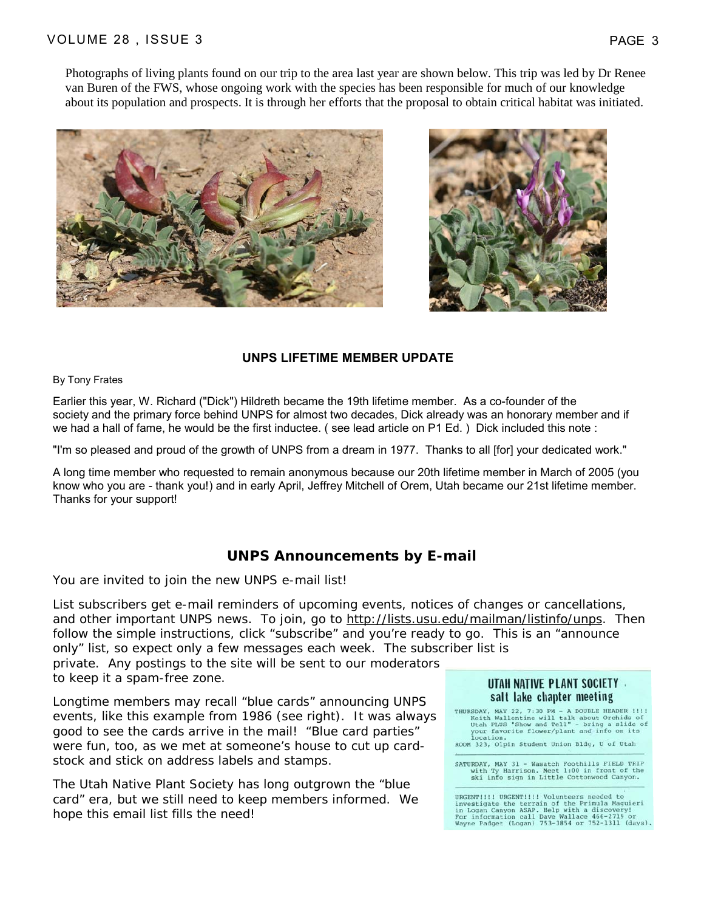Photographs of living plants found on our trip to the area last year are shown below. This trip was led by Dr Renee van Buren of the FWS, whose ongoing work with the species has been responsible for much of our knowledge about its population and prospects. It is through her efforts that the proposal to obtain critical habitat was initiated.





### **UNPS LIFETIME MEMBER UPDATE**

### By Tony Frates

Earlier this year, W. Richard ("Dick") Hildreth became the 19th lifetime member. As a co-founder of the society and the primary force behind UNPS for almost two decades, Dick already was an honorary member and if we had a hall of fame, he would be the first inductee. ( see lead article on P1 Ed. ) Dick included this note :

"I'm so pleased and proud of the growth of UNPS from a dream in 1977. Thanks to all [for] your dedicated work."

A long time member who requested to remain anonymous because our 20th lifetime member in March of 2005 (you know who you are - thank you!) and in early April, Jeffrey Mitchell of Orem, Utah became our 21st lifetime member. Thanks for your support!

### **UNPS Announcements by E-mail**

You are invited to join the new UNPS e-mail list!

List subscribers get e-mail reminders of upcoming events, notices of changes or cancellations, and other important UNPS news. To join, go to http://lists.usu.edu/mailman/listinfo/unps. Then follow the simple instructions, click "subscribe" and you're ready to go. This is an "announce only" list, so expect only a few messages each week. The subscriber list is

private. Any postings to the site will be sent to our moderators to keep it a spam-free zone.

Longtime members may recall "blue cards" announcing UNPS events, like this example from 1986 (see right). It was always good to see the cards arrive in the mail! "Blue card parties" were fun, too, as we met at someone's house to cut up cardstock and stick on address labels and stamps.

The Utah Native Plant Society has long outgrown the "blue card" era, but we still need to keep members informed. We hope this email list fills the need!

### UTAH NATIVE PLANT SOCIETY salt lake chapter meeting

THURSDAY, MAY 22, 7:30 PM - A DOUBLE HEADER !!!!<br>Keith Wallentine will talk about Orchids of<br>Utah PLUS "Show and Tell" - bring a slide of<br>your favorite flower/plant and info on its  $\frac{1}{2}$ ROOM 323, Olpin Student Union Bldg, U of Utah

SATURDAY, MAY 31 - Wasatch Foothills FIELD TRIP with Ty Harrison. Meet 1:00 in front of the ski info sign in Little Cottonwood Canyon.

URGENTIIII URGENTIIII Volunteers needed to Sometical the terrain of the Primula Maguieri<br>in Logan Canyon ASAP. Help with a discovery!<br>Por information call Dave Wallace 466-2719 or<br>Wayne Padget (Logan) 753-3854 or 752-1311 (days).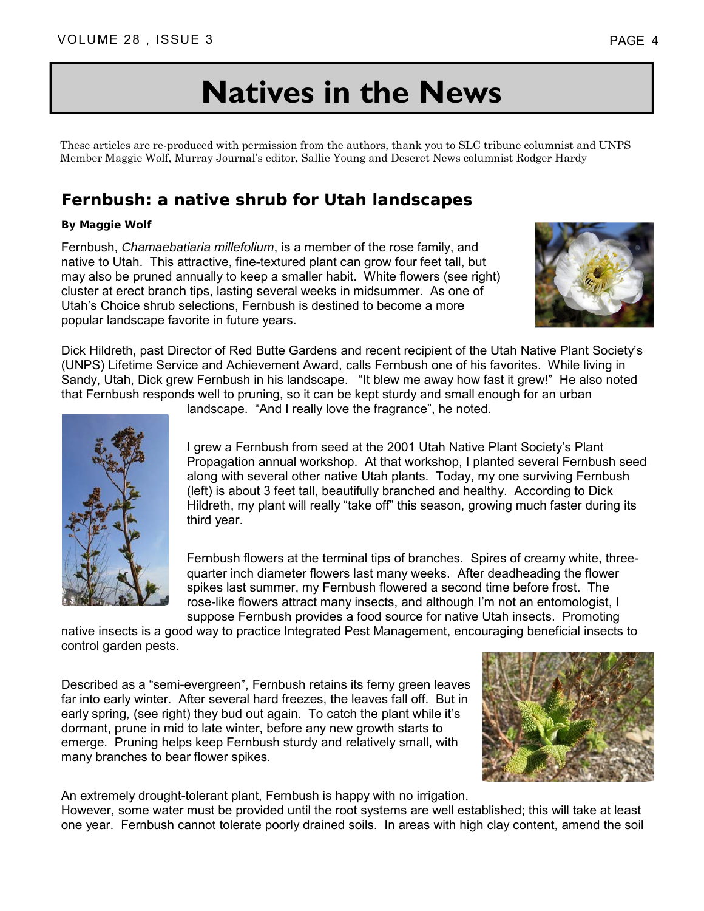# **Natives in the News**

These articles are re-produced with permission from the authors, thank you to SLC tribune columnist and UNPS Member Maggie Wolf, Murray Journal's editor, Sallie Young and Deseret News columnist Rodger Hardy

## **Fernbush: a native shrub for Utah landscapes**

### **By Maggie Wolf**

Fernbush, *Chamaebatiaria millefolium*, is a member of the rose family, and native to Utah. This attractive, fine-textured plant can grow four feet tall, but may also be pruned annually to keep a smaller habit. White flowers (see right) cluster at erect branch tips, lasting several weeks in midsummer. As one of Utah's Choice shrub selections, Fernbush is destined to become a more popular landscape favorite in future years.



Dick Hildreth, past Director of Red Butte Gardens and recent recipient of the Utah Native Plant Society's (UNPS) Lifetime Service and Achievement Award, calls Fernbush one of his favorites. While living in Sandy, Utah, Dick grew Fernbush in his landscape. "It blew me away how fast it grew!" He also noted that Fernbush responds well to pruning, so it can be kept sturdy and small enough for an urban

landscape. "And I really love the fragrance", he noted.

I grew a Fernbush from seed at the 2001 Utah Native Plant Society's Plant Propagation annual workshop. At that workshop, I planted several Fernbush seed along with several other native Utah plants. Today, my one surviving Fernbush (left) is about 3 feet tall, beautifully branched and healthy. According to Dick Hildreth, my plant will really "take off" this season, growing much faster during its third year.

Fernbush flowers at the terminal tips of branches. Spires of creamy white, threequarter inch diameter flowers last many weeks. After deadheading the flower spikes last summer, my Fernbush flowered a second time before frost. The rose-like flowers attract many insects, and although I'm not an entomologist, I suppose Fernbush provides a food source for native Utah insects. Promoting

native insects is a good way to practice Integrated Pest Management, encouraging beneficial insects to control garden pests.

Described as a "semi-evergreen", Fernbush retains its ferny green leaves far into early winter. After several hard freezes, the leaves fall off. But in early spring, (see right) they bud out again. To catch the plant while it's dormant, prune in mid to late winter, before any new growth starts to emerge. Pruning helps keep Fernbush sturdy and relatively small, with many branches to bear flower spikes.



An extremely drought-tolerant plant, Fernbush is happy with no irrigation. However, some water must be provided until the root systems are well established; this will take at least one year. Fernbush cannot tolerate poorly drained soils. In areas with high clay content, amend the soil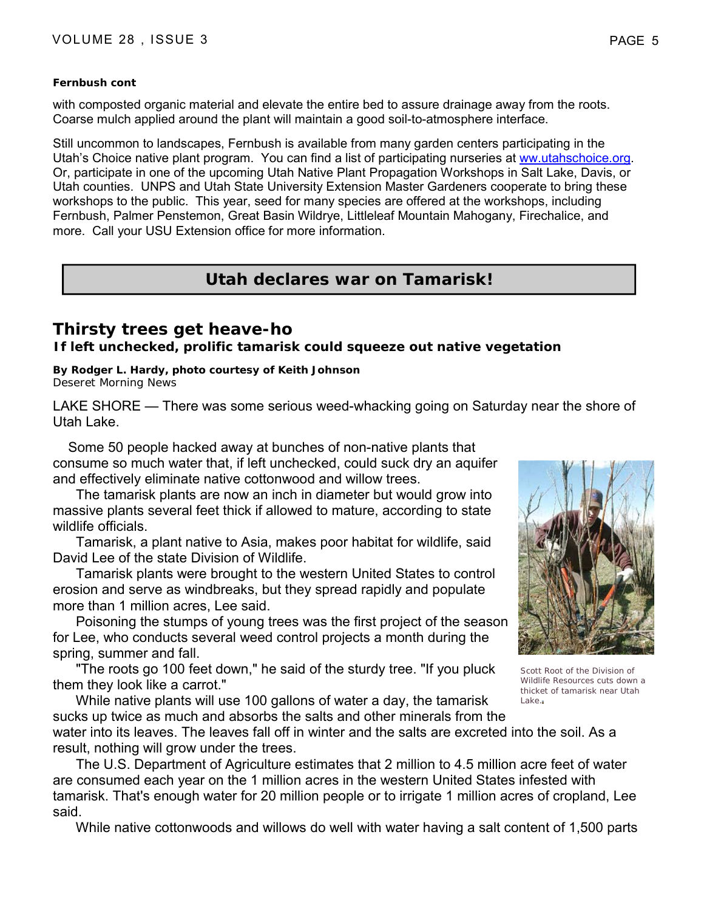### **Fernbush cont**

with composted organic material and elevate the entire bed to assure drainage away from the roots. Coarse mulch applied around the plant will maintain a good soil-to-atmosphere interface.

Still uncommon to landscapes, Fernbush is available from many garden centers participating in the Utah's Choice native plant program. You can find a list of participating nurseries at ww.utahschoice.org. Or, participate in one of the upcoming Utah Native Plant Propagation Workshops in Salt Lake, Davis, or Utah counties. UNPS and Utah State University Extension Master Gardeners cooperate to bring these workshops to the public. This year, seed for many species are offered at the workshops, including Fernbush, Palmer Penstemon, Great Basin Wildrye, Littleleaf Mountain Mahogany, Firechalice, and more. Call your USU Extension office for more information.

## **Utah declares war on Tamarisk!**

## **Thirsty trees get heave-ho**

**If left unchecked, prolific tamarisk could squeeze out native vegetation**

**By Rodger L. Hardy, photo courtesy of Keith Johnson** Deseret Morning News

LAKE SHORE — There was some serious weed-whacking going on Saturday near the shore of Utah Lake.

 Some 50 people hacked away at bunches of non-native plants that consume so much water that, if left unchecked, could suck dry an aquifer and effectively eliminate native cottonwood and willow trees.

 The tamarisk plants are now an inch in diameter but would grow into massive plants several feet thick if allowed to mature, according to state wildlife officials.

 Tamarisk, a plant native to Asia, makes poor habitat for wildlife, said David Lee of the state Division of Wildlife.

 Tamarisk plants were brought to the western United States to control erosion and serve as windbreaks, but they spread rapidly and populate more than 1 million acres, Lee said.

 Poisoning the stumps of young trees was the first project of the season for Lee, who conducts several weed control projects a month during the spring, summer and fall.

 "The roots go 100 feet down," he said of the sturdy tree. "If you pluck them they look like a carrot."

 While native plants will use 100 gallons of water a day, the tamarisk sucks up twice as much and absorbs the salts and other minerals from the



Scott Root of the Division of Wildlife Resources cuts down a thicket of tamarisk near Utah Lake.

water into its leaves. The leaves fall off in winter and the salts are excreted into the soil. As a result, nothing will grow under the trees.

 The U.S. Department of Agriculture estimates that 2 million to 4.5 million acre feet of water are consumed each year on the 1 million acres in the western United States infested with tamarisk. That's enough water for 20 million people or to irrigate 1 million acres of cropland, Lee said.

While native cottonwoods and willows do well with water having a salt content of 1,500 parts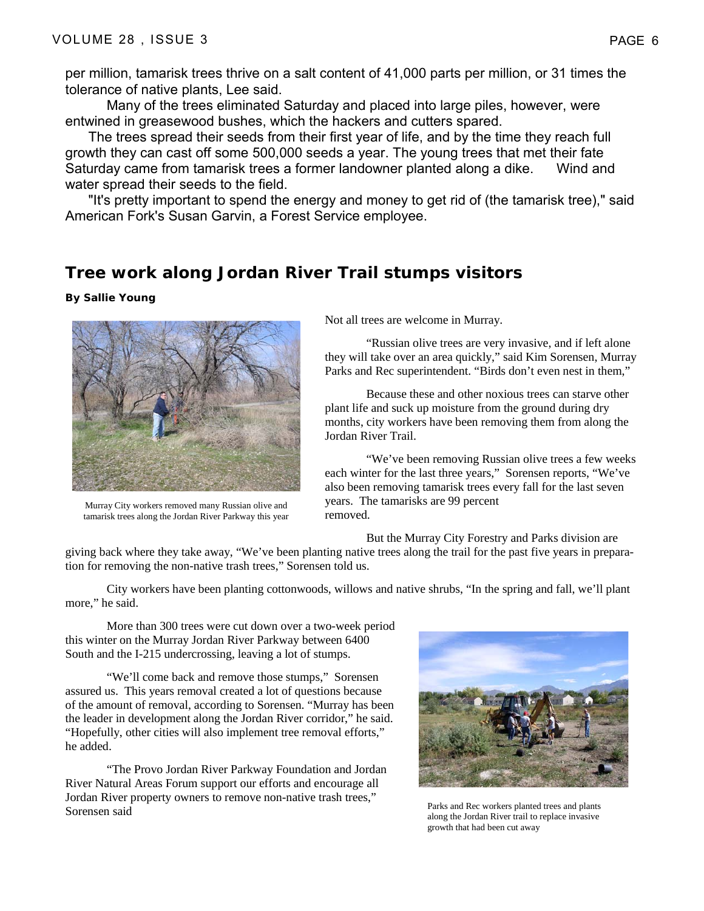per million, tamarisk trees thrive on a salt content of 41,000 parts per million, or 31 times the tolerance of native plants, Lee said.

 Many of the trees eliminated Saturday and placed into large piles, however, were entwined in greasewood bushes, which the hackers and cutters spared.

 The trees spread their seeds from their first year of life, and by the time they reach full growth they can cast off some 500,000 seeds a year. The young trees that met their fate Saturday came from tamarisk trees a former landowner planted along a dike. Wind and water spread their seeds to the field.

 "It's pretty important to spend the energy and money to get rid of (the tamarisk tree)," said American Fork's Susan Garvin, a Forest Service employee.

### **Tree work along Jordan River Trail stumps visitors**

**By Sallie Young** 



Murray City workers removed many Russian olive and tamarisk trees along the Jordan River Parkway this year

Not all trees are welcome in Murray.

 "Russian olive trees are very invasive, and if left alone they will take over an area quickly," said Kim Sorensen, Murray Parks and Rec superintendent. "Birds don't even nest in them,"

 Because these and other noxious trees can starve other plant life and suck up moisture from the ground during dry months, city workers have been removing them from along the Jordan River Trail.

 "We've been removing Russian olive trees a few weeks each winter for the last three years," Sorensen reports, "We've also been removing tamarisk trees every fall for the last seven years. The tamarisks are 99 percent removed.

But the Murray City Forestry and Parks division are

giving back where they take away, "We've been planting native trees along the trail for the past five years in preparation for removing the non-native trash trees," Sorensen told us.

 City workers have been planting cottonwoods, willows and native shrubs, "In the spring and fall, we'll plant more," he said.

 More than 300 trees were cut down over a two-week period this winter on the Murray Jordan River Parkway between 6400 South and the I-215 undercrossing, leaving a lot of stumps.

"We'll come back and remove those stumps," Sorensen assured us. This years removal created a lot of questions because of the amount of removal, according to Sorensen. "Murray has been the leader in development along the Jordan River corridor," he said. "Hopefully, other cities will also implement tree removal efforts," he added.

 "The Provo Jordan River Parkway Foundation and Jordan River Natural Areas Forum support our efforts and encourage all Jordan River property owners to remove non-native trash trees," Sorensen said



Parks and Rec workers planted trees and plants along the Jordan River trail to replace invasive growth that had been cut away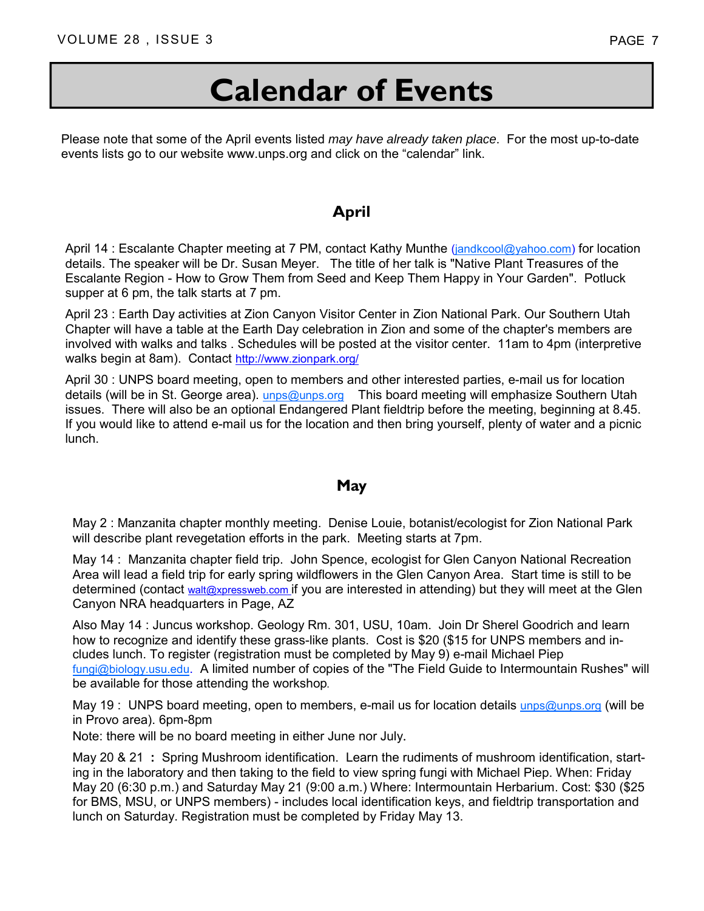# **Calendar of Events**

Please note that some of the April events listed *may have already taken place*. For the most up-to-date events lists go to our website www.unps.org and click on the "calendar" link.

### **April**

April 14 : Escalante Chapter meeting at 7 PM, contact Kathy Munthe (*jandkcool@yahoo.com*) for location details. The speaker will be Dr. Susan Meyer. The title of her talk is "Native Plant Treasures of the Escalante Region - How to Grow Them from Seed and Keep Them Happy in Your Garden". Potluck supper at 6 pm, the talk starts at 7 pm.

 April 23 : Earth Day activities at Zion Canyon Visitor Center in Zion National Park. Our Southern Utah Chapter will have a table at the Earth Day celebration in Zion and some of the chapter's members are involved with walks and talks . Schedules will be posted at the visitor center. 11am to 4pm (interpretive walks begin at 8am). Contact http://www.zionpark.org/

 April 30 : UNPS board meeting, open to members and other interested parties, e-mail us for location details (will be in St. George area). unps@unps.org This board meeting will emphasize Southern Utah issues. There will also be an optional Endangered Plant fieldtrip before the meeting, beginning at 8.45. If you would like to attend e-mail us for the location and then bring yourself, plenty of water and a picnic lunch.

### **May**

 May 2 : Manzanita chapter monthly meeting. Denise Louie, botanist/ecologist for Zion National Park will describe plant revegetation efforts in the park. Meeting starts at 7pm.

 May 14 : Manzanita chapter field trip. John Spence, ecologist for Glen Canyon National Recreation Area will lead a field trip for early spring wildflowers in the Glen Canyon Area. Start time is still to be determined (contact walt@xpressweb.com if you are interested in attending) but they will meet at the Glen Canyon NRA headquarters in Page, AZ

 Also May 14 : Juncus workshop. Geology Rm. 301, USU, 10am. Join Dr Sherel Goodrich and learn how to recognize and identify these grass-like plants. Cost is \$20 (\$15 for UNPS members and includes lunch. To register (registration must be completed by May 9) e-mail Michael Piep fungi@biology.usu.edu. A limited number of copies of the "The Field Guide to Intermountain Rushes" will be available for those attending the workshop.

May 19 : UNPS board meeting, open to members, e-mail us for location details unps@unps.org (will be in Provo area). 6pm-8pm

Note: there will be no board meeting in either June nor July.

 May 20 & 21 **:** Spring Mushroom identification. Learn the rudiments of mushroom identification, starting in the laboratory and then taking to the field to view spring fungi with Michael Piep. When: Friday May 20 (6:30 p.m.) and Saturday May 21 (9:00 a.m.) Where: Intermountain Herbarium. Cost: \$30 (\$25 for BMS, MSU, or UNPS members) - includes local identification keys, and fieldtrip transportation and lunch on Saturday. Registration must be completed by Friday May 13.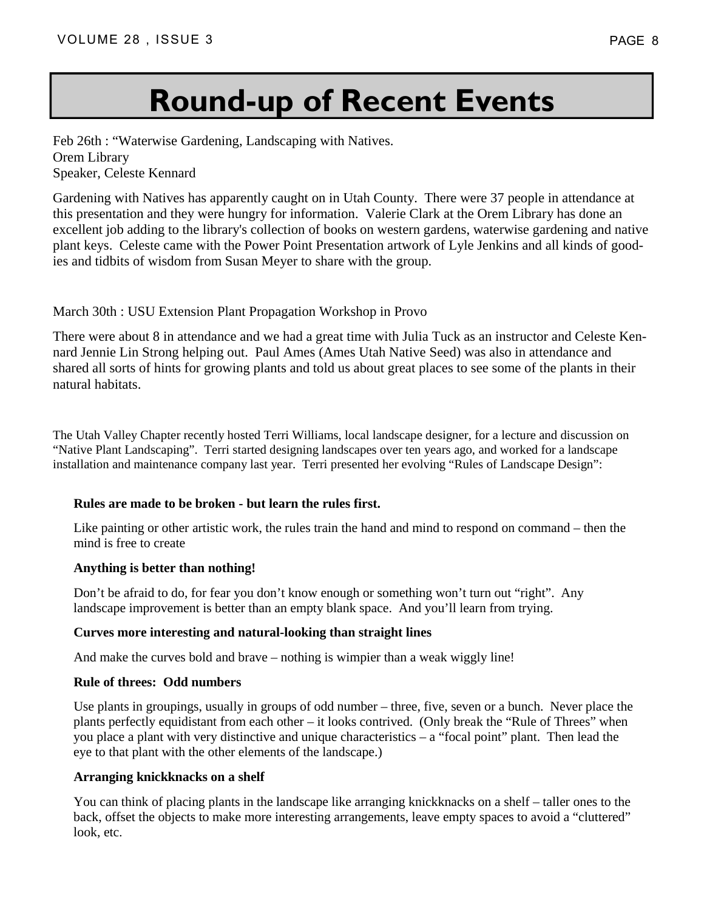# **Round-up of Recent Events**

Feb 26th : "Waterwise Gardening, Landscaping with Natives. Orem Library Speaker, Celeste Kennard

Gardening with Natives has apparently caught on in Utah County. There were 37 people in attendance at this presentation and they were hungry for information. Valerie Clark at the Orem Library has done an excellent job adding to the library's collection of books on western gardens, waterwise gardening and native plant keys. Celeste came with the Power Point Presentation artwork of Lyle Jenkins and all kinds of goodies and tidbits of wisdom from Susan Meyer to share with the group.

### March 30th : USU Extension Plant Propagation Workshop in Provo

There were about 8 in attendance and we had a great time with Julia Tuck as an instructor and Celeste Kennard Jennie Lin Strong helping out. Paul Ames (Ames Utah Native Seed) was also in attendance and shared all sorts of hints for growing plants and told us about great places to see some of the plants in their natural habitats.

The Utah Valley Chapter recently hosted Terri Williams, local landscape designer, for a lecture and discussion on "Native Plant Landscaping". Terri started designing landscapes over ten years ago, and worked for a landscape installation and maintenance company last year. Terri presented her evolving "Rules of Landscape Design":

### **Rules are made to be broken - but learn the rules first.**

 Like painting or other artistic work, the rules train the hand and mind to respond on command – then the mind is free to create

### **Anything is better than nothing!**

 Don't be afraid to do, for fear you don't know enough or something won't turn out "right". Any landscape improvement is better than an empty blank space. And you'll learn from trying.

### **Curves more interesting and natural-looking than straight lines**

And make the curves bold and brave – nothing is wimpier than a weak wiggly line!

### **Rule of threes: Odd numbers**

 Use plants in groupings, usually in groups of odd number – three, five, seven or a bunch. Never place the plants perfectly equidistant from each other – it looks contrived. (Only break the "Rule of Threes" when you place a plant with very distinctive and unique characteristics – a "focal point" plant. Then lead the eye to that plant with the other elements of the landscape.)

### **Arranging knickknacks on a shelf**

 You can think of placing plants in the landscape like arranging knickknacks on a shelf – taller ones to the back, offset the objects to make more interesting arrangements, leave empty spaces to avoid a "cluttered" look, etc.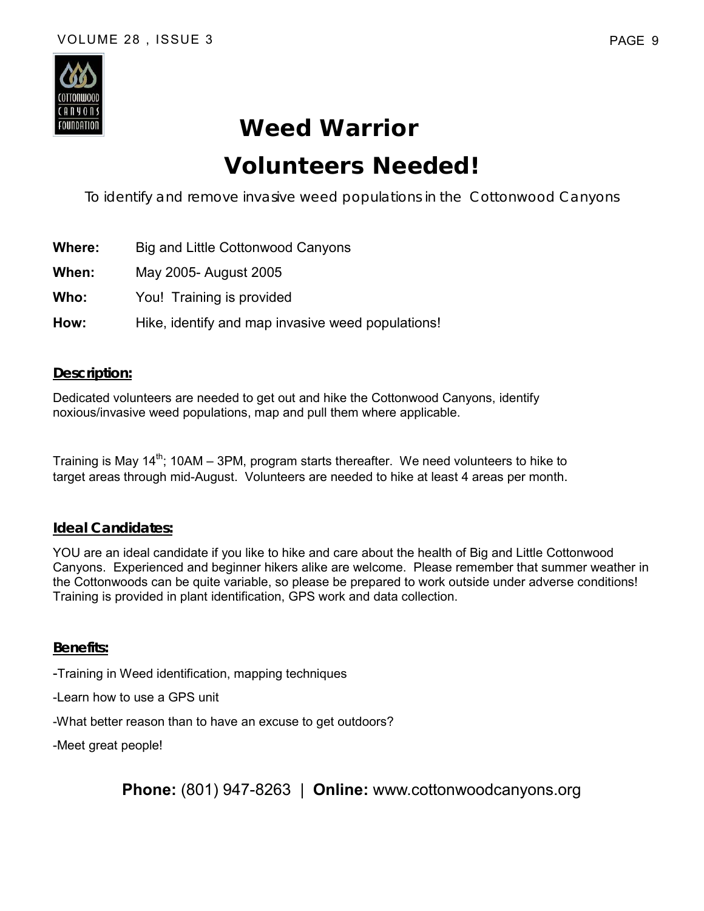

# **Weed Warrior Volunteers Needed!**

*To identify and remove invasive weed populations in the Cottonwood Canyons*

- **Where:** Big and Little Cottonwood Canyons
- **When:** May 2005- August 2005
- **Who:** You! Training is provided
- **How:** Hike, identify and map invasive weed populations!

### **Description:**

Dedicated volunteers are needed to get out and hike the Cottonwood Canyons, identify noxious/invasive weed populations, map and pull them where applicable.

Training is May 14<sup>th</sup>; 10AM – 3PM, program starts thereafter. We need volunteers to hike to target areas through mid-August. Volunteers are needed to hike at least 4 areas per month.

### **Ideal Candidates:**

YOU are an ideal candidate if you like to hike and care about the health of Big and Little Cottonwood Canyons. Experienced and beginner hikers alike are welcome. Please remember that summer weather in the Cottonwoods can be quite variable, so please be prepared to work outside under adverse conditions! Training is provided in plant identification, GPS work and data collection.

### **Benefits:**

-Training in Weed identification, mapping techniques

-Learn how to use a GPS unit

-What better reason than to have an excuse to get outdoors?

-Meet great people!

**Phone:** (801) 947-8263 | **Online:** www.cottonwoodcanyons.org